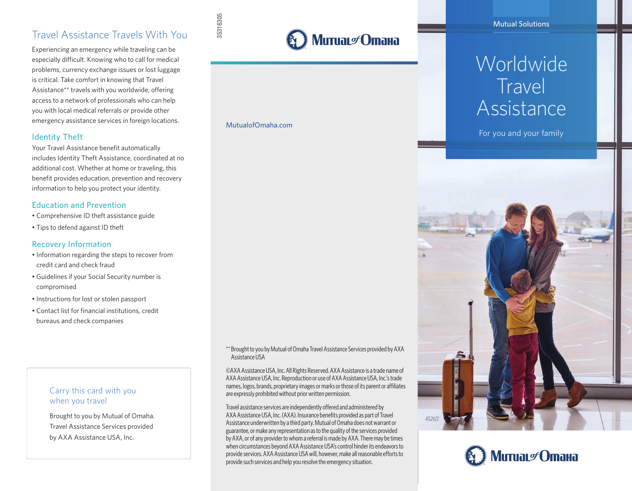# Travel Assistance Travels With You

Experiencing an emergency while traveling can be especially difficult. Knowing who to call for medical problems, currency exchange issues or lost luggage is critical. Take comfort in knowing that Travel Assistance\*\* travels with you worldwide, offering access to a network of professionals who can help you with local medical referrals or provide other emergency assistance services in foreign locations.

#### Identity Theft

Your Travel Assistance benefit automatically includes Identity Theft Assistance, coordinated at no additional cost. Whether at home or traveling, this benefit provides education, prevention and recovery information to help you protect your identity.

#### Education and Prevention

- Comprehensive ID theft assistance guide
- Tips to defend against ID theft

#### Recovery Information

- Information regarding the steps to recover from credit card and check fraud
- Guidelines if your Social Security number is compromised
- Instructions for lost or stolen passport
- Contact list for financial institutions, credit bureaus and check companies

#### Carry this card with you when you travel

Brought to you by Mutual of Omaha. Travel Assistance Services provided by AXA Assistance USA, Inc.



MutualofOmaha.com

\*\* Brought to you by Mutual of Omaha Travel Assistance Services provided by AXA Assistance USA

©AXA Assistance USA, Inc. All Rights Reserved. AXA Assistance is a trade name of AXA Assistance USA, Inc. Reproduction or use of AXA Assistance USA, Inc.'s trade names, logos, brands, proprietary images or marks or those of its parent or affiliates are expressly prohibited without prior written permission.

Travel assistance services are independently offered and administered by AXA Assistance USA, Inc. (AXA). Insurance benefits provided as part of Travel Assistance underwritten by a third party. Mutual of Omaha does not warrant or guarantee, or make any representation as to the quality of the services provided by AXA, or of any provider to whom a referral is made by AXA. There may be times when circumstances beyond AXA Assistance USA's control hinder its endeavors to provide services. AXA Assistance USA will, however, make all reasonable efforts to provide such services and help you resolve the emergency situation.

Mutual Solutions

# Worldwide **Travel Assistance**

For you and your family